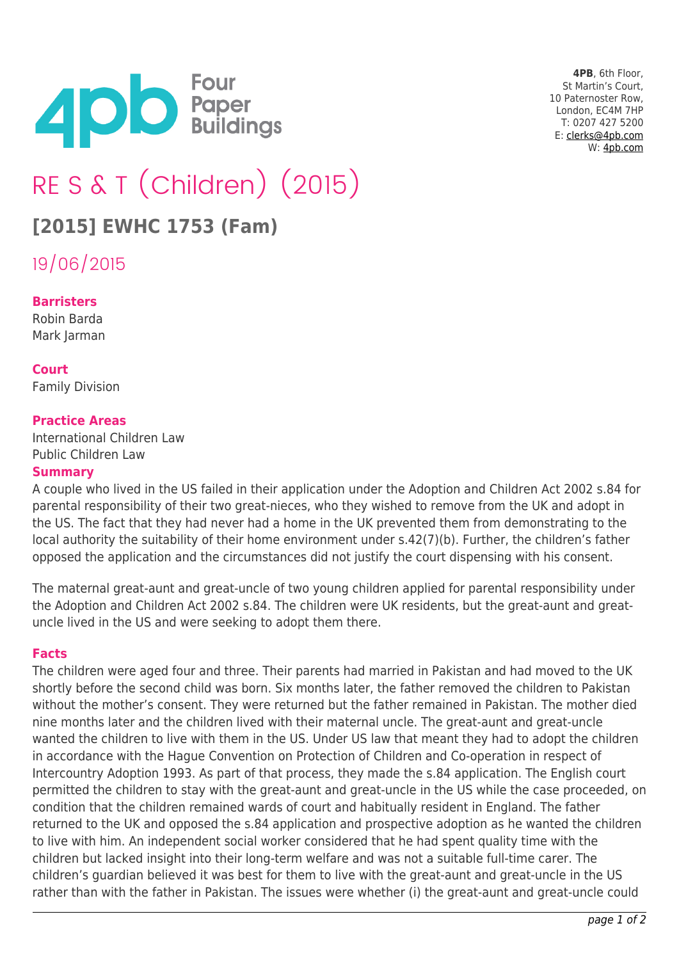

**4PB**, 6th Floor, St Martin's Court, 10 Paternoster Row, London, EC4M 7HP T: 0207 427 5200 E: [clerks@4pb.com](mailto:clerks@4pb.com) W: [4pb.com](http://4pb.com)

# RE S & T (Children) (2015)

## **[2015] EWHC 1753 (Fam)**

19/06/2015

#### **Barristers**

Robin Barda Mark Jarman

**Court** Family Division

#### **Practice Areas**

International Children Law Public Children Law

#### **Summary**

A couple who lived in the US failed in their application under the Adoption and Children Act 2002 s.84 for parental responsibility of their two great-nieces, who they wished to remove from the UK and adopt in the US. The fact that they had never had a home in the UK prevented them from demonstrating to the local authority the suitability of their home environment under s.42(7)(b). Further, the children's father opposed the application and the circumstances did not justify the court dispensing with his consent.

The maternal great-aunt and great-uncle of two young children applied for parental responsibility under the Adoption and Children Act 2002 s.84. The children were UK residents, but the great-aunt and greatuncle lived in the US and were seeking to adopt them there.

#### **Facts**

The children were aged four and three. Their parents had married in Pakistan and had moved to the UK shortly before the second child was born. Six months later, the father removed the children to Pakistan without the mother's consent. They were returned but the father remained in Pakistan. The mother died nine months later and the children lived with their maternal uncle. The great-aunt and great-uncle wanted the children to live with them in the US. Under US law that meant they had to adopt the children in accordance with the Hague Convention on Protection of Children and Co-operation in respect of Intercountry Adoption 1993. As part of that process, they made the s.84 application. The English court permitted the children to stay with the great-aunt and great-uncle in the US while the case proceeded, on condition that the children remained wards of court and habitually resident in England. The father returned to the UK and opposed the s.84 application and prospective adoption as he wanted the children to live with him. An independent social worker considered that he had spent quality time with the children but lacked insight into their long-term welfare and was not a suitable full-time carer. The children's guardian believed it was best for them to live with the great-aunt and great-uncle in the US rather than with the father in Pakistan. The issues were whether (i) the great-aunt and great-uncle could